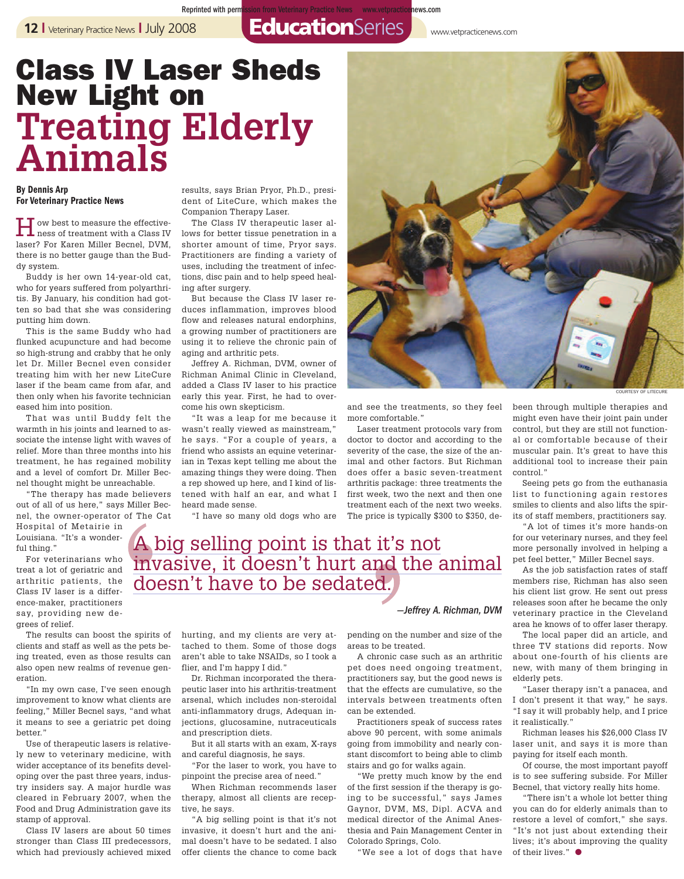**12** I Veterinary Practice News I July 2008 **EducationSeries** www.vetpracticenews.com

Reprinted with permission from Veterinary Practice News www.vetpracticenews.com

## **Class IV Laser Sheds New Light on Treating Elderly Animals**

## **By Dennis Arp For Veterinary Practice News**

How best to measure the effective-ness of treatment with a Class IV laser? For Karen Miller Becnel, DVM, there is no better gauge than the Buddy system.

Buddy is her own 14-year-old cat, who for years suffered from polyarthritis. By January, his condition had gotten so bad that she was considering putting him down.

This is the same Buddy who had flunked acupuncture and had become so high-strung and crabby that he only let Dr. Miller Becnel even consider treating him with her new LiteCure laser if the beam came from afar, and then only when his favorite technician eased him into position.

That was until Buddy felt the warmth in his joints and learned to associate the intense light with waves of relief. More than three months into his treatment, he has regained mobility and a level of comfort Dr. Miller Becnel thought might be unreachable.

"The therapy has made believers out of all of us here," says Miller Becnel, the owner-operator of The Cat

Hospital of Metairie in Louisiana. "It's a wonderful thing."

For veterinarians who treat a lot of geriatric and arthritic patients, the Class IV laser is a difference-maker, practitioners say, providing new degrees of relief.

The results can boost the spirits of clients and staff as well as the pets being treated, even as those results can also open new realms of revenue generation.

"In my own case, I've seen enough improvement to know what clients are feeling," Miller Becnel says, "and what it means to see a geriatric pet doing better."

Use of therapeutic lasers is relatively new to veterinary medicine, with wider acceptance of its benefits developing over the past three years, industry insiders say. A major hurdle was cleared in February 2007, when the Food and Drug Administration gave its stamp of approval.

Class IV lasers are about 50 times stronger than Class III predecessors, which had previously achieved mixed

results, says Brian Pryor, Ph.D., president of LiteCure, which makes the Companion Therapy Laser.

The Class IV therapeutic laser allows for better tissue penetration in a shorter amount of time, Pryor says. Practitioners are finding a variety of uses, including the treatment of infections, disc pain and to help speed healing after surgery.

But because the Class IV laser reduces inflammation, improves blood flow and releases natural endorphins, a growing number of practitioners are using it to relieve the chronic pain of aging and arthritic pets.

Jeffrey A. Richman, DVM, owner of Richman Animal Clinic in Cleveland, added a Class IV laser to his practice early this year. First, he had to overcome his own skepticism.

"It was a leap for me because it wasn't really viewed as mainstream," he says. "For a couple of years, a friend who assists an equine veterinarian in Texas kept telling me about the amazing things they were doing. Then a rep showed up here, and I kind of listened with half an ear, and what I heard made sense.

"I have so many old dogs who are



and see the treatments, so they feel more comfortable."

Laser treatment protocols vary from doctor to doctor and according to the severity of the case, the size of the animal and other factors. But Richman does offer a basic seven-treatment arthritis package: three treatments the first week, two the next and then one treatment each of the next two weeks. The price is typically \$300 to \$350, de-

COURTESY OF LITECURE

been through multiple therapies and might even have their joint pain under control, but they are still not functional or comfortable because of their muscular pain. It's great to have this additional tool to increase their pain control."

Seeing pets go from the euthanasia list to functioning again restores smiles to clients and also lifts the spirits of staff members, practitioners say.

"A lot of times it's more hands-on for our veterinary nurses, and they feel more personally involved in helping a pet feel better," Miller Becnel says.

As the job satisfaction rates of staff members rise, Richman has also seen his client list grow. He sent out press releases soon after he became the only veterinary practice in the Cleveland area he knows of to offer laser therapy.

The local paper did an article, and three TV stations did reports. Now about one-fourth of his clients are new, with many of them bringing in elderly pets.

"Laser therapy isn't a panacea, and I don't present it that way," he says. "I say it will probably help, and I price it realistically."

Richman leases his \$26,000 Class IV laser unit, and says it is more than paying for itself each month.

Of course, the most important payoff is to see suffering subside. For Miller Becnel, that victory really hits home.

"There isn't a whole lot better thing you can do for elderly animals than to restore a level of comfort," she says. "It's not just about extending their lives; it's about improving the quality of their lives." **●**

A big selling point is that it's not invasive, it doesn't hurt and the animal doesn't have to be sedated.

> hurting, and my clients are very attached to them. Some of those dogs aren't able to take NSAIDs, so I took a flier, and I'm happy I did."

Dr. Richman incorporated the therapeutic laser into his arthritis-treatment arsenal, which includes non-steroidal anti-inflammatory drugs, Adequan injections, glucosamine, nutraceuticals and prescription diets.

But it all starts with an exam, X-rays and careful diagnosis, he says.

"For the laser to work, you have to pinpoint the precise area of need."

When Richman recommends laser therapy, almost all clients are receptive, he says.

"A big selling point is that it's not invasive, it doesn't hurt and the animal doesn't have to be sedated. I also offer clients the chance to come back pending on the number and size of the areas to be treated.

*—Jeffrey A. Richman, DVM*

A chronic case such as an arthritic pet does need ongoing treatment, practitioners say, but the good news is that the effects are cumulative, so the intervals between treatments often can be extended.

Practitioners speak of success rates above 90 percent, with some animals going from immobility and nearly constant discomfort to being able to climb stairs and go for walks again.

"We pretty much know by the end of the first session if the therapy is going to be successful," says James Gaynor, DVM, MS, Dipl. ACVA and medical director of the Animal Anesthesia and Pain Management Center in Colorado Springs, Colo.

"We see a lot of dogs that have